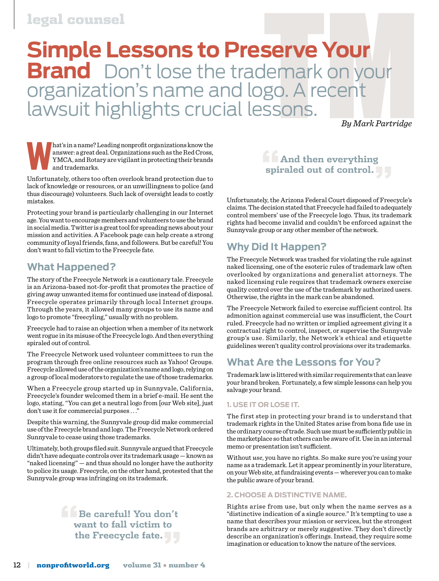# legal counsel

# **Serve Your<br>Iemark on your<br>go. A recent<br>SSONS.**<br>By Mark Partridge **Simple Lessons to Preserve Your Brand** Don't lose the trademark on your organization's name and logo. A recent lawsuit highlights crucial lessons.

 *By Mark Partridge*

**W**hat's in a name? Leading nonprofit organizations know the answer: a great deal. Organizations such as the Red Cross, YMCA, and Rotary are vigilant in protecting their brands and trademarks.

Unfortunately, others too often overlook brand protection due to lack of knowledge or resources, or an unwillingness to police (and thus discourage) volunteers. Such lack of oversight leads to costly mistakes.

Protecting your brand is particularly challenging in our Internet age. You want to encourage members and volunteers to use the brand in social media. Twitter is a great tool for spreading news about your mission and activities. A Facebook page can help create a strong community of loyal friends, fans, and followers. But be careful! You don't want to fall victim to the Freecycle fate.

# **What Happened?**

The story of the Freecycle Network is a cautionary tale. Freecycle is an Arizona-based not-for-profit that promotes the practice of giving away unwanted items for continued use instead of disposal. Freecycle operates primarily through local Internet groups. Through the years, it allowed many groups to use its name and logo to promote "freecyling," usually with no problem.

Freecycle had to raise an objection when a member of its network went rogue in its misuse of the Freecycle logo. And then everything spiraled out of control.

The Freecycle Network used volunteer committees to run the program through free online resources such as Yahoo! Groups. Freecycle allowed use of the organization's name and logo, relying on a group of local moderators to regulate the use of those trademarks.

When a Freecycle group started up in Sunnyvale, California, Freecycle's founder welcomed them in a brief e-mail. He sent the logo, stating, "You can get a neutral logo from [our Web site], just don't use it for commercial purposes . . ."

Despite this warning, the Sunnyvale group did make commercial use of the Freecycle brand and logo. The Freecycle Network ordered Sunnyvale to cease using those trademarks.

Ultimately, both groups filed suit. Sunnyvale argued that Freecycle didn't have adequate controls over its trademark usage — known as "naked licensing" — and thus should no longer have the authority to police its usage. Freecycle, on the other hand, protested that the Sunnyvale group was infringing on its trademark.

# **"Be careful! You don't want to fall victim to the Freecycle fate."**



Unfortunately, the Arizona Federal Court disposed of Freecycle's claims. The decision stated that Freecycle had failed to adequately control members' use of the Freecycle logo. Thus, its trademark rights had become invalid and couldn't be enforced against the Sunnyvale group or any other member of the network.

# **Why Did It Happen?**

The Freecycle Network was trashed for violating the rule against naked licensing, one of the esoteric rules of trademark law often overlooked by organizations and generalist attorneys. The naked licensing rule requires that trademark owners exercise quality control over the use of the trademark by authorized users. Otherwise, the rights in the mark can be abandoned.

The Freecycle Network failed to exercise sufficient control. Its admonition against commercial use was insufficient, the Court ruled. Freecycle had no written or implied agreement giving it a contractual right to control, inspect, or supervise the Sunnyvale group's use. Similarly, the Network's ethical and etiquette guidelines weren't quality control provisions over its trademarks.

# **What Are the Lessons for You?**

Trademark law is littered with similar requirements that can leave your brand broken. Fortunately, a few simple lessons can help you salvage your brand.

#### **1. Use It Or Lose It.**

The first step in protecting your brand is to understand that trademark rights in the United States arise from bona fide use in the ordinary course of trade. Such use must be sufficiently public in the marketplace so that others can be aware of it. Use in an internal memo or presentation isn't sufficient.

Without *use*, you have no rights. So make sure you're using your name as a trademark. Let it appear prominently in your literature, on your Web site, at fundraising events — wherever you can to make the public aware of your brand.

#### **2. Choose a Distinctive Name.**

Rights arise from use, but only when the name serves as a "distinctive indication of a single source." It's tempting to use a name that describes your mission or services, but the strongest brands are arbitrary or merely suggestive. They don't directly describe an organization's offerings. Instead, they require some imagination or education to know the nature of the services.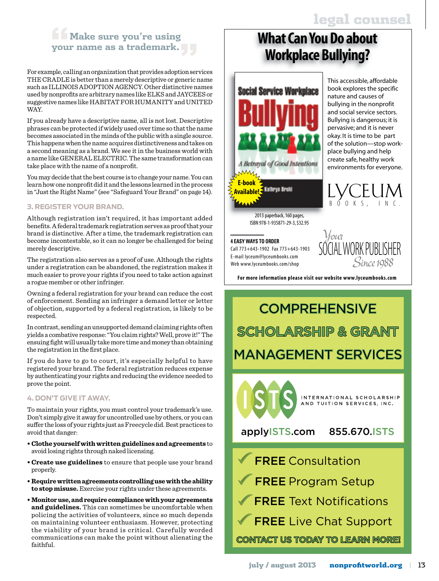This accessible, affordable book explores the specific nature and causes of bullying in the nonprofit and social service sectors. Bullying is dangerous; it is pervasive; and it is never okay. It is time to be part of the solution—stop workplace bullying and help create safe, healthy work environments for everyone.

# **"Make sure you're using your name as a trademark."**

For example, calling an organization that provides adoption services THE CRADLE is better than a merely descriptive or generic name such as ILLINOIS ADOPTION AGENCY. Other distinctive names used by nonprofits are arbitrary names like ELKS and JAYCEES or suggestive names like HABITAT FOR HUMANITY and UNITED WAY.

If you already have a descriptive name, all is not lost. Descriptive phrases can be protected if widely used over time so that the name becomes associated in the minds of the public with a single source. This happens when the name acquires distinctiveness and takes on a second meaning as a brand. We see it in the business world with a name like GENERAL ELECTRIC. The same transformation can take place with the name of a nonprofit.

You may decide that the best course is to change your name. You can learn how one nonprofit did it and the lessons learned in the process in "Just the Right Name" (see "Safeguard Your Brand" on page 14).

### **3. Register Your Brand.**

Although registration isn't required, it has important added benefits. A federal trademark registration serves as proof that your brand is distinctive. After a time, the trademark registration can become incontestable, so it can no longer be challenged for being merely descriptive.

The registration also serves as a proof of use. Although the rights under a registration can be abandoned, the registration makes it much easier to prove your rights if you need to take action against a rogue member or other infringer.

Owning a federal registration for your brand can reduce the cost of enforcement. Sending an infringer a demand letter or letter of objection, supported by a federal registration, is likely to be respected.

In contrast, sending an unsupported demand claiming rights often yields a combative response: "You claim rights? Well, prove it!" The ensuing fight will usually take more time and money than obtaining the registration in the first place.

If you do have to go to court, it's especially helpful to have registered your brand. The federal registration reduces expense by authenticating your rights and reducing the evidence needed to prove the point.

#### **4. Don't Give It Away.**

To maintain your rights, you must control your trademark's use. Don't simply give it away for uncontrolled use by others, or you can suffer the loss of your rights just as Freecycle did. Best practices to avoid that danger:

- **Clothe yourself with written guidelines and agreements** to avoid losing rights through naked licensing.
- **Create use guidelines** to ensure that people use your brand properly.
- **Require written agreements controlling use with the ability to stop misuse.** Exercise your rights under these agreements.
- **Monitor use, and require compliance with your agreements and guidelines.** This can sometimes be uncomfortable when policing the activities of volunteers, since so much depends on maintaining volunteer enthusiasm. However, protecting the viability of your brand is critical. Carefully worded communications can make the point without alienating the faithful.

# **What Can You Do about Workplace Bullying?**



2013 paperback, 160 pages, ISBN 978-1-935871-29-3,\$32.95

Call 773+643-1902 Fax 773+643-1903 E-mail lyceum@lyceumbooks.com Web www.lyceumbooks.com/shop



,

U I

M N C .

LYCE

For more information please visit our website www.lyceumbooks.com

# **COMPREHENSIVE SCHOLARSHIP & GRANT** MANAGEMENT SERVICES